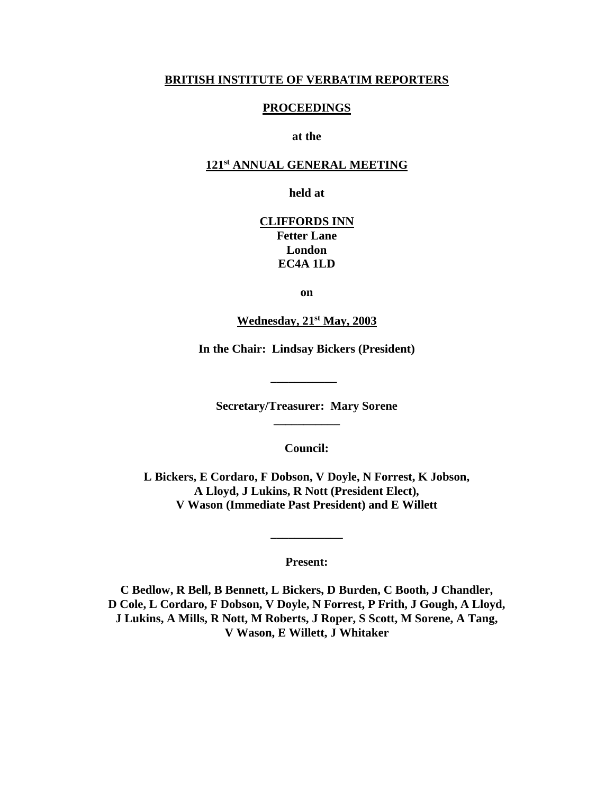#### **BRITISH INSTITUTE OF VERBATIM REPORTERS**

#### **PROCEEDINGS**

**at the**

#### **121st ANNUAL GENERAL MEETING**

**held at**

**CLIFFORDS INN Fetter Lane London EC4A 1LD**

**on**

**Wednesday, 21st May, 2003**

**In the Chair: Lindsay Bickers (President)**

**\_\_\_\_\_\_\_\_\_\_\_**

**Secretary/Treasurer: Mary Sorene \_\_\_\_\_\_\_\_\_\_\_**

**Council:**

**L Bickers, E Cordaro, F Dobson, V Doyle, N Forrest, K Jobson, A Lloyd, J Lukins, R Nott (President Elect), V Wason (Immediate Past President) and E Willett**

**Present:**

**\_\_\_\_\_\_\_\_\_\_\_\_**

**C Bedlow, R Bell, B Bennett, L Bickers, D Burden, C Booth, J Chandler, D Cole, L Cordaro, F Dobson, V Doyle, N Forrest, P Frith, J Gough, A Lloyd, J Lukins, A Mills, R Nott, M Roberts, J Roper, S Scott, M Sorene, A Tang, V Wason, E Willett, J Whitaker**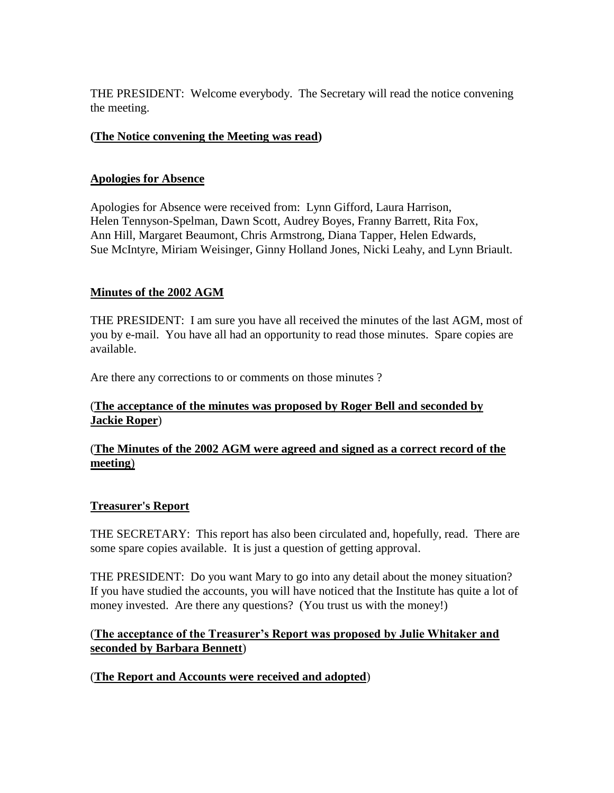THE PRESIDENT: Welcome everybody. The Secretary will read the notice convening the meeting.

## **(The Notice convening the Meeting was read)**

#### **Apologies for Absence**

Apologies for Absence were received from: Lynn Gifford, Laura Harrison, Helen Tennyson-Spelman, Dawn Scott, Audrey Boyes, Franny Barrett, Rita Fox, Ann Hill, Margaret Beaumont, Chris Armstrong, Diana Tapper, Helen Edwards, Sue McIntyre, Miriam Weisinger, Ginny Holland Jones, Nicki Leahy, and Lynn Briault.

### **Minutes of the 2002 AGM**

THE PRESIDENT: I am sure you have all received the minutes of the last AGM, most of you by e-mail. You have all had an opportunity to read those minutes. Spare copies are available.

Are there any corrections to or comments on those minutes ?

### (**The acceptance of the minutes was proposed by Roger Bell and seconded by Jackie Roper**)

### (**The Minutes of the 2002 AGM were agreed and signed as a correct record of the meeting**)

### **Treasurer's Report**

THE SECRETARY: This report has also been circulated and, hopefully, read. There are some spare copies available. It is just a question of getting approval.

THE PRESIDENT: Do you want Mary to go into any detail about the money situation? If you have studied the accounts, you will have noticed that the Institute has quite a lot of money invested. Are there any questions? (You trust us with the money!)

### (**The acceptance of the Treasurer's Report was proposed by Julie Whitaker and seconded by Barbara Bennett**)

### (**The Report and Accounts were received and adopted**)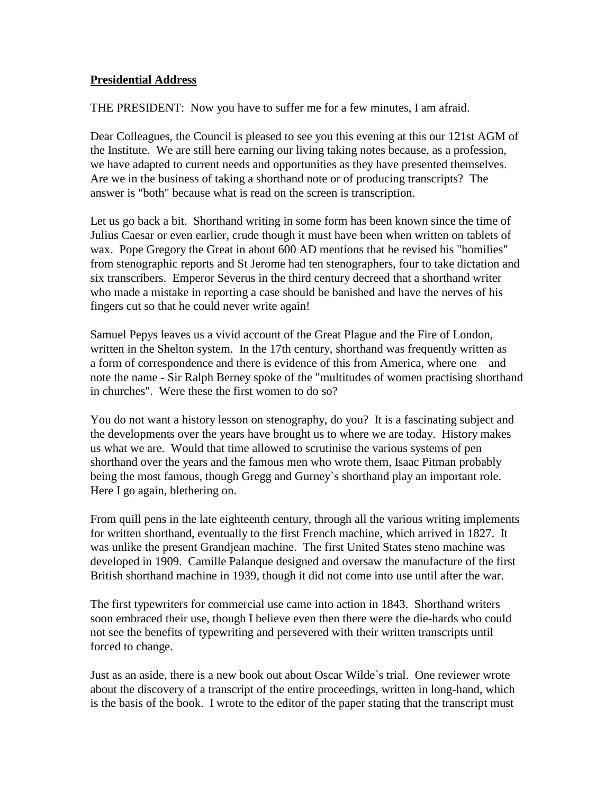#### **Presidential Address**

THE PRESIDENT: Now you have to suffer me for a few minutes, I am afraid.

Dear Colleagues, the Council is pleased to see you this evening at this our 121st AGM of the Institute. We are still here earning our living taking notes because, as a profession, we have adapted to current needs and opportunities as they have presented themselves. Are we in the business of taking a shorthand note or of producing transcripts? The answer is "both" because what is read on the screen is transcription.

Let us go back a bit. Shorthand writing in some form has been known since the time of Julius Caesar or even earlier, crude though it must have been when written on tablets of wax. Pope Gregory the Great in about 600 AD mentions that he revised his "homilies" from stenographic reports and St Jerome had ten stenographers, four to take dictation and six transcribers. Emperor Severus in the third century decreed that a shorthand writer who made a mistake in reporting a case should be banished and have the nerves of his fingers cut so that he could never write again!

Samuel Pepys leaves us a vivid account of the Great Plague and the Fire of London, written in the Shelton system. In the 17th century, shorthand was frequently written as a form of correspondence and there is evidence of this from America, where one – and note the name - Sir Ralph Berney spoke of the "multitudes of women practising shorthand in churches". Were these the first women to do so?

You do not want a history lesson on stenography, do you? It is a fascinating subject and the developments over the years have brought us to where we are today. History makes us what we are. Would that time allowed to scrutinise the various systems of pen shorthand over the years and the famous men who wrote them, Isaac Pitman probably being the most famous, though Gregg and Gurney`s shorthand play an important role. Here I go again, blethering on.

From quill pens in the late eighteenth century, through all the various writing implements for written shorthand, eventually to the first French machine, which arrived in 1827. It was unlike the present Grandjean machine. The first United States steno machine was developed in 1909. Camille Palanque designed and oversaw the manufacture of the first British shorthand machine in 1939, though it did not come into use until after the war.

The first typewriters for commercial use came into action in 1843. Shorthand writers soon embraced their use, though I believe even then there were the die-hards who could not see the benefits of typewriting and persevered with their written transcripts until forced to change.

Just as an aside, there is a new book out about Oscar Wilde`s trial. One reviewer wrote about the discovery of a transcript of the entire proceedings, written in long-hand, which is the basis of the book. I wrote to the editor of the paper stating that the transcript must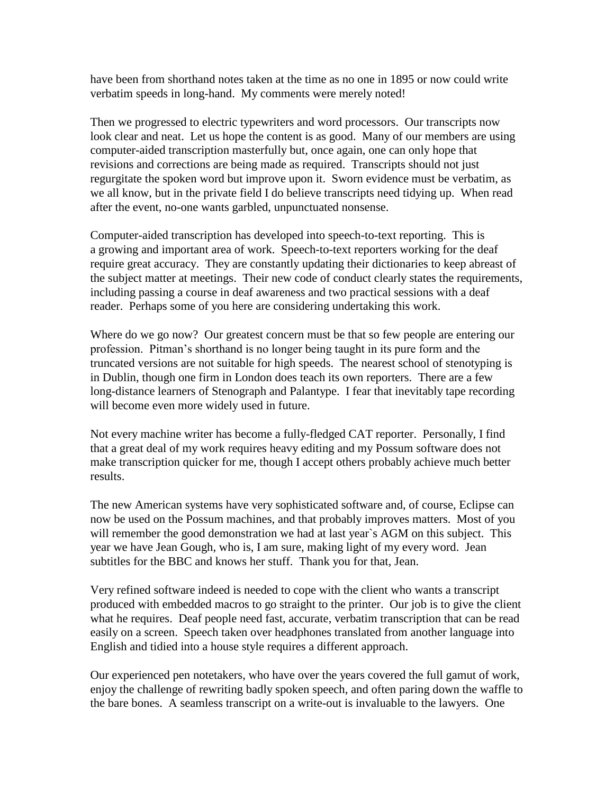have been from shorthand notes taken at the time as no one in 1895 or now could write verbatim speeds in long-hand. My comments were merely noted!

Then we progressed to electric typewriters and word processors. Our transcripts now look clear and neat. Let us hope the content is as good. Many of our members are using computer-aided transcription masterfully but, once again, one can only hope that revisions and corrections are being made as required. Transcripts should not just regurgitate the spoken word but improve upon it. Sworn evidence must be verbatim, as we all know, but in the private field I do believe transcripts need tidying up. When read after the event, no-one wants garbled, unpunctuated nonsense.

Computer-aided transcription has developed into speech-to-text reporting. This is a growing and important area of work. Speech-to-text reporters working for the deaf require great accuracy. They are constantly updating their dictionaries to keep abreast of the subject matter at meetings. Their new code of conduct clearly states the requirements, including passing a course in deaf awareness and two practical sessions with a deaf reader. Perhaps some of you here are considering undertaking this work.

Where do we go now? Our greatest concern must be that so few people are entering our profession. Pitman's shorthand is no longer being taught in its pure form and the truncated versions are not suitable for high speeds. The nearest school of stenotyping is in Dublin, though one firm in London does teach its own reporters. There are a few long-distance learners of Stenograph and Palantype. I fear that inevitably tape recording will become even more widely used in future.

Not every machine writer has become a fully-fledged CAT reporter. Personally, I find that a great deal of my work requires heavy editing and my Possum software does not make transcription quicker for me, though I accept others probably achieve much better results.

The new American systems have very sophisticated software and, of course, Eclipse can now be used on the Possum machines, and that probably improves matters. Most of you will remember the good demonstration we had at last year's AGM on this subject. This year we have Jean Gough, who is, I am sure, making light of my every word. Jean subtitles for the BBC and knows her stuff. Thank you for that, Jean.

Very refined software indeed is needed to cope with the client who wants a transcript produced with embedded macros to go straight to the printer. Our job is to give the client what he requires. Deaf people need fast, accurate, verbatim transcription that can be read easily on a screen. Speech taken over headphones translated from another language into English and tidied into a house style requires a different approach.

Our experienced pen notetakers, who have over the years covered the full gamut of work, enjoy the challenge of rewriting badly spoken speech, and often paring down the waffle to the bare bones. A seamless transcript on a write-out is invaluable to the lawyers. One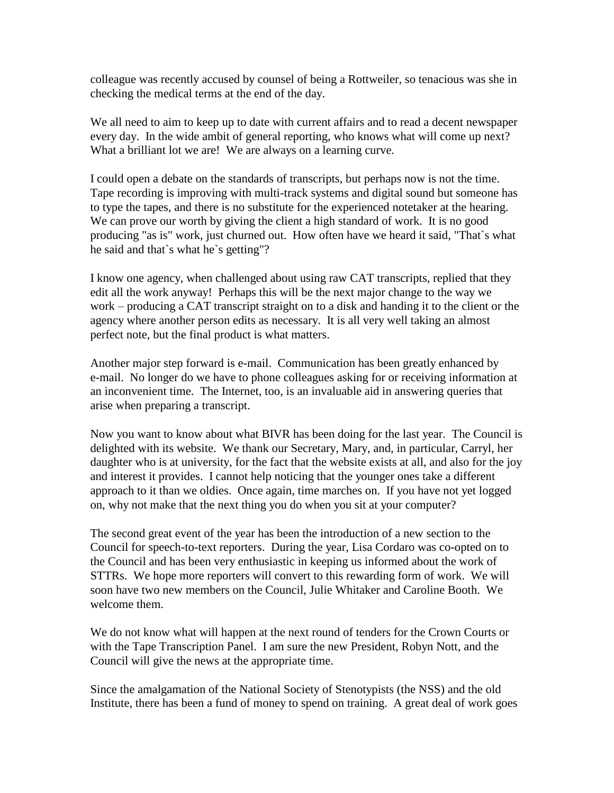colleague was recently accused by counsel of being a Rottweiler, so tenacious was she in checking the medical terms at the end of the day.

We all need to aim to keep up to date with current affairs and to read a decent newspaper every day. In the wide ambit of general reporting, who knows what will come up next? What a brilliant lot we are! We are always on a learning curve.

I could open a debate on the standards of transcripts, but perhaps now is not the time. Tape recording is improving with multi-track systems and digital sound but someone has to type the tapes, and there is no substitute for the experienced notetaker at the hearing. We can prove our worth by giving the client a high standard of work. It is no good producing "as is" work, just churned out. How often have we heard it said, "That`s what he said and that`s what he`s getting"?

I know one agency, when challenged about using raw CAT transcripts, replied that they edit all the work anyway! Perhaps this will be the next major change to the way we work – producing a CAT transcript straight on to a disk and handing it to the client or the agency where another person edits as necessary. It is all very well taking an almost perfect note, but the final product is what matters.

Another major step forward is e-mail. Communication has been greatly enhanced by e-mail. No longer do we have to phone colleagues asking for or receiving information at an inconvenient time. The Internet, too, is an invaluable aid in answering queries that arise when preparing a transcript.

Now you want to know about what BIVR has been doing for the last year. The Council is delighted with its website. We thank our Secretary, Mary, and, in particular, Carryl, her daughter who is at university, for the fact that the website exists at all, and also for the joy and interest it provides. I cannot help noticing that the younger ones take a different approach to it than we oldies. Once again, time marches on. If you have not yet logged on, why not make that the next thing you do when you sit at your computer?

The second great event of the year has been the introduction of a new section to the Council for speech-to-text reporters. During the year, Lisa Cordaro was co-opted on to the Council and has been very enthusiastic in keeping us informed about the work of STTRs. We hope more reporters will convert to this rewarding form of work. We will soon have two new members on the Council, Julie Whitaker and Caroline Booth. We welcome them.

We do not know what will happen at the next round of tenders for the Crown Courts or with the Tape Transcription Panel. I am sure the new President, Robyn Nott, and the Council will give the news at the appropriate time.

Since the amalgamation of the National Society of Stenotypists (the NSS) and the old Institute, there has been a fund of money to spend on training. A great deal of work goes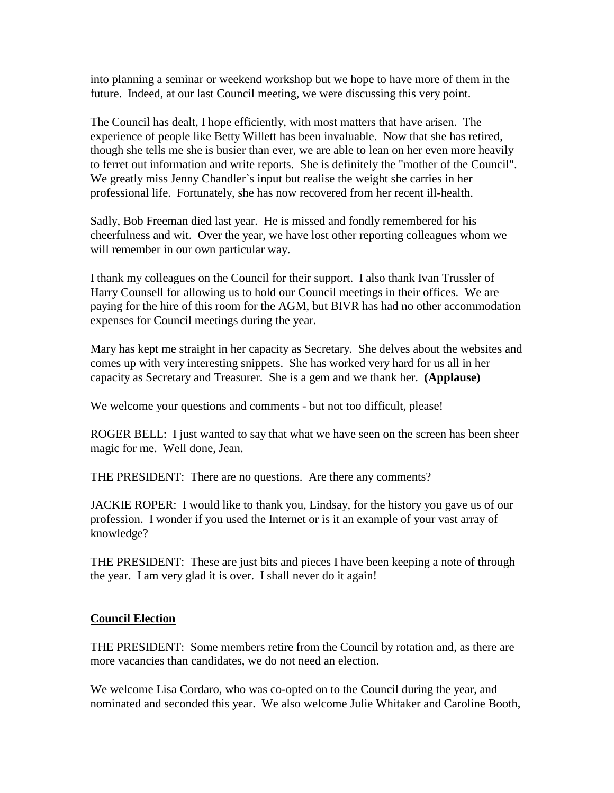into planning a seminar or weekend workshop but we hope to have more of them in the future. Indeed, at our last Council meeting, we were discussing this very point.

The Council has dealt, I hope efficiently, with most matters that have arisen. The experience of people like Betty Willett has been invaluable. Now that she has retired, though she tells me she is busier than ever, we are able to lean on her even more heavily to ferret out information and write reports. She is definitely the "mother of the Council". We greatly miss Jenny Chandler`s input but realise the weight she carries in her professional life. Fortunately, she has now recovered from her recent ill-health.

Sadly, Bob Freeman died last year. He is missed and fondly remembered for his cheerfulness and wit. Over the year, we have lost other reporting colleagues whom we will remember in our own particular way.

I thank my colleagues on the Council for their support. I also thank Ivan Trussler of Harry Counsell for allowing us to hold our Council meetings in their offices. We are paying for the hire of this room for the AGM, but BIVR has had no other accommodation expenses for Council meetings during the year.

Mary has kept me straight in her capacity as Secretary. She delves about the websites and comes up with very interesting snippets. She has worked very hard for us all in her capacity as Secretary and Treasurer. She is a gem and we thank her. **(Applause)**

We welcome your questions and comments - but not too difficult, please!

ROGER BELL: I just wanted to say that what we have seen on the screen has been sheer magic for me. Well done, Jean.

THE PRESIDENT: There are no questions. Are there any comments?

JACKIE ROPER: I would like to thank you, Lindsay, for the history you gave us of our profession. I wonder if you used the Internet or is it an example of your vast array of knowledge?

THE PRESIDENT: These are just bits and pieces I have been keeping a note of through the year. I am very glad it is over. I shall never do it again!

### **Council Election**

THE PRESIDENT: Some members retire from the Council by rotation and, as there are more vacancies than candidates, we do not need an election.

We welcome Lisa Cordaro, who was co-opted on to the Council during the year, and nominated and seconded this year. We also welcome Julie Whitaker and Caroline Booth,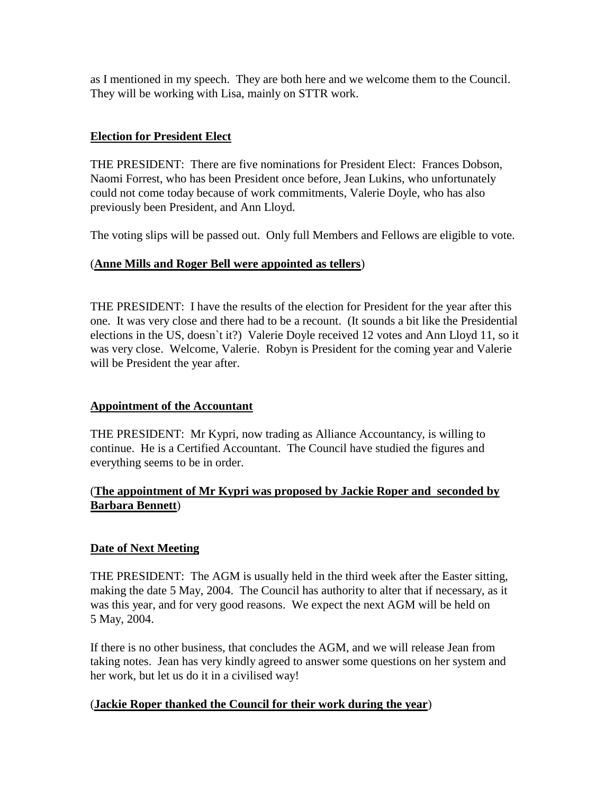as I mentioned in my speech. They are both here and we welcome them to the Council. They will be working with Lisa, mainly on STTR work.

## **Election for President Elect**

THE PRESIDENT: There are five nominations for President Elect: Frances Dobson, Naomi Forrest, who has been President once before, Jean Lukins, who unfortunately could not come today because of work commitments, Valerie Doyle, who has also previously been President, and Ann Lloyd.

The voting slips will be passed out. Only full Members and Fellows are eligible to vote.

## (**Anne Mills and Roger Bell were appointed as tellers**)

THE PRESIDENT: I have the results of the election for President for the year after this one. It was very close and there had to be a recount. (It sounds a bit like the Presidential elections in the US, doesn`t it?) Valerie Doyle received 12 votes and Ann Lloyd 11, so it was very close. Welcome, Valerie. Robyn is President for the coming year and Valerie will be President the year after.

### **Appointment of the Accountant**

THE PRESIDENT: Mr Kypri, now trading as Alliance Accountancy, is willing to continue. He is a Certified Accountant. The Council have studied the figures and everything seems to be in order.

## (**The appointment of Mr Kypri was proposed by Jackie Roper and seconded by Barbara Bennett**)

# **Date of Next Meeting**

THE PRESIDENT: The AGM is usually held in the third week after the Easter sitting, making the date 5 May, 2004. The Council has authority to alter that if necessary, as it was this year, and for very good reasons. We expect the next AGM will be held on 5 May, 2004.

If there is no other business, that concludes the AGM, and we will release Jean from taking notes. Jean has very kindly agreed to answer some questions on her system and her work, but let us do it in a civilised way!

### (**Jackie Roper thanked the Council for their work during the year**)